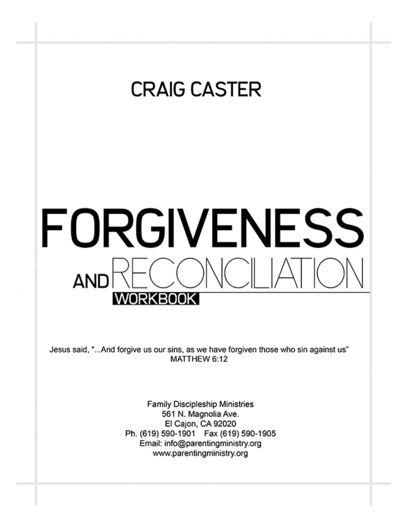## **CRAIG CASTER**

# FORGIVENESS **AND** WORKBOOK

Jesus said, "...And forgive us our sins, as we have forgiven those who sin against us" MATTHEW 6:12

> **Family Discipleship Ministries** 561 N. Magnolia Ave. El Cajon, CA 92020 Ph. (619) 590-1901 Fax (619) 590-1905 Email: info@parentingministry.org www.parentingministry.org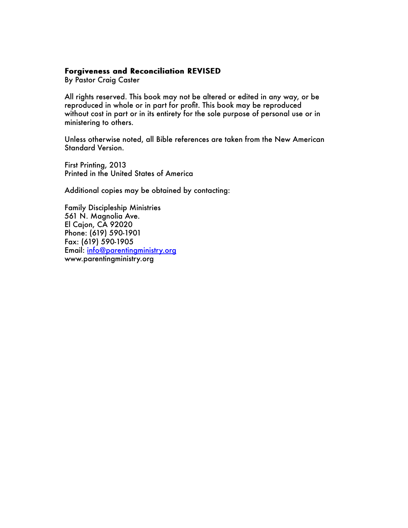#### Forgiveness and Reconciliation REVISED

By Pastor Craig Caster

All rights reserved. This book may not be altered or edited in any way, or be reproduced in whole or in part for profit. This book may be reproduced without cost in part or in its entirety for the sole purpose of personal use or in ministering to others.

Unless otherwise noted, all Bible references are taken from the New American Standard Version.

First Printing, 2013 Printed in the United States of America

Additional copies may be obtained by contacting:

Family Discipleship Ministries 561 N. Magnolia Ave. El Cajon, CA 92020 Phone: (619) 590-1901 Fax: (619) 590-1905 Email: info@parentingministry.org www.parentingministry.org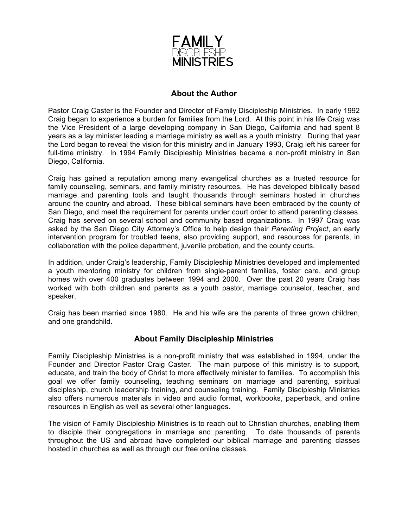

#### **About the Author**

Pastor Craig Caster is the Founder and Director of Family Discipleship Ministries. In early 1992 Craig began to experience a burden for families from the Lord. At this point in his life Craig was the Vice President of a large developing company in San Diego, California and had spent 8 years as a lay minister leading a marriage ministry as well as a youth ministry. During that year the Lord began to reveal the vision for this ministry and in January 1993, Craig left his career for full-time ministry. In 1994 Family Discipleship Ministries became a non-profit ministry in San Diego, California.

Craig has gained a reputation among many evangelical churches as a trusted resource for family counseling, seminars, and family ministry resources. He has developed biblically based marriage and parenting tools and taught thousands through seminars hosted in churches around the country and abroad. These biblical seminars have been embraced by the county of San Diego, and meet the requirement for parents under court order to attend parenting classes. Craig has served on several school and community based organizations. In 1997 Craig was asked by the San Diego City Attorney's Office to help design their *Parenting Project*, an early intervention program for troubled teens, also providing support, and resources for parents, in collaboration with the police department, juvenile probation, and the county courts.

In addition, under Craig's leadership, Family Discipleship Ministries developed and implemented a youth mentoring ministry for children from single-parent families, foster care, and group homes with over 400 graduates between 1994 and 2000. Over the past 20 years Craig has worked with both children and parents as a youth pastor, marriage counselor, teacher, and speaker.

Craig has been married since 1980. He and his wife are the parents of three grown children, and one grandchild.

#### **About Family Discipleship Ministries**

Family Discipleship Ministries is a non-profit ministry that was established in 1994, under the Founder and Director Pastor Craig Caster. The main purpose of this ministry is to support, educate, and train the body of Christ to more effectively minister to families. To accomplish this goal we offer family counseling, teaching seminars on marriage and parenting, spiritual discipleship, church leadership training, and counseling training. Family Discipleship Ministries also offers numerous materials in video and audio format, workbooks, paperback, and online resources in English as well as several other languages.

The vision of Family Discipleship Ministries is to reach out to Christian churches, enabling them to disciple their congregations in marriage and parenting. To date thousands of parents throughout the US and abroad have completed our biblical marriage and parenting classes hosted in churches as well as through our free online classes.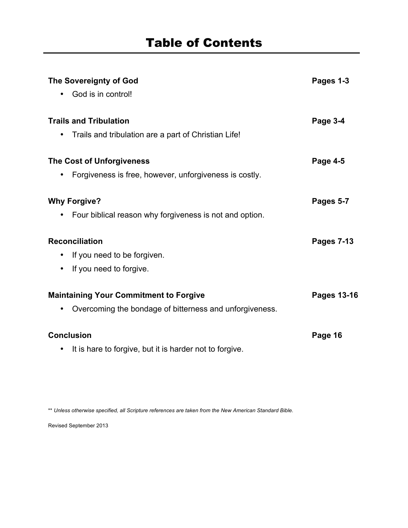| <b>The Sovereignty of God</b><br>God is in control!       | Pages 1-3          |
|-----------------------------------------------------------|--------------------|
|                                                           |                    |
| Trails and tribulation are a part of Christian Life!<br>٠ |                    |
| <b>The Cost of Unforgiveness</b>                          | Page 4-5           |
| Forgiveness is free, however, unforgiveness is costly.    |                    |
| <b>Why Forgive?</b>                                       | Pages 5-7          |
| Four biblical reason why forgiveness is not and option.   |                    |
| <b>Reconciliation</b>                                     | <b>Pages 7-13</b>  |
| If you need to be forgiven.                               |                    |
| If you need to forgive.<br>$\bullet$                      |                    |
| <b>Maintaining Your Commitment to Forgive</b>             | <b>Pages 13-16</b> |
| Overcoming the bondage of bitterness and unforgiveness.   |                    |
| <b>Conclusion</b>                                         | Page 16            |
| It is hare to forgive, but it is harder not to forgive.   |                    |

\*\* *Unless otherwise specified, all Scripture references are taken from the New American Standard Bible.* 

Revised September 2013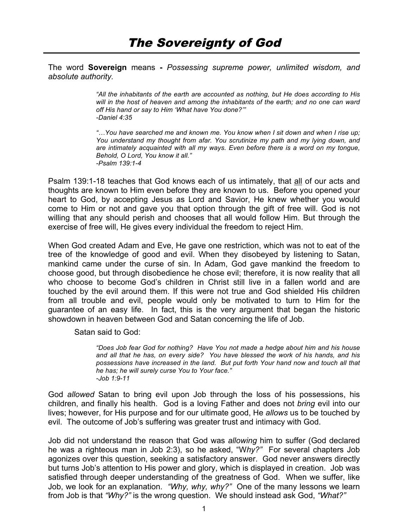The word **Sovereign** means **-** *Possessing supreme power, unlimited wisdom, and absolute authority.*

> *"All the inhabitants of the earth are accounted as nothing, but He does according to His will in the host of heaven and among the inhabitants of the earth; and no one can ward off His hand or say to Him 'What have You done?'" -Daniel 4:35*

> *"…You have searched me and known me. You know when I sit down and when I rise up; You understand my thought from afar. You scrutinize my path and my lying down, and are intimately acquainted with all my ways. Even before there is a word on my tongue, Behold, O Lord, You know it all." -Psalm 139:1-4*

Psalm 139:1-18 teaches that God knows each of us intimately, that all of our acts and thoughts are known to Him even before they are known to us. Before you opened your heart to God, by accepting Jesus as Lord and Savior, He knew whether you would come to Him or not and gave you that option through the gift of free will. God is not willing that any should perish and chooses that all would follow Him. But through the exercise of free will, He gives every individual the freedom to reject Him.

When God created Adam and Eve, He gave one restriction, which was not to eat of the tree of the knowledge of good and evil. When they disobeyed by listening to Satan, mankind came under the curse of sin. In Adam, God gave mankind the freedom to choose good, but through disobedience he chose evil; therefore, it is now reality that all who choose to become God's children in Christ still live in a fallen world and are touched by the evil around them. If this were not true and God shielded His children from all trouble and evil, people would only be motivated to turn to Him for the guarantee of an easy life. In fact, this is the very argument that began the historic showdown in heaven between God and Satan concerning the life of Job.

Satan said to God:

*"Does Job fear God for nothing? Have You not made a hedge about him and his house and all that he has, on every side? You have blessed the work of his hands, and his possessions have increased in the land. But put forth Your hand now and touch all that he has; he will surely curse You to Your face." -Job 1:9-11*

God *allowed* Satan to bring evil upon Job through the loss of his possessions, his children, and finally his health. God is a loving Father and does not *bring* evil into our lives; however, for His purpose and for our ultimate good, He *allows* us to be touched by evil. The outcome of Job's suffering was greater trust and intimacy with God.

Job did not understand the reason that God was *allowing* him to suffer (God declared he was a righteous man in Job 2:3), so he asked, "W*hy?"* For several chapters Job agonizes over this question, seeking a satisfactory answer. God never answers directly but turns Job's attention to His power and glory, which is displayed in creation. Job was satisfied through deeper understanding of the greatness of God. When we suffer, like Job, we look for an explanation. *"Why, why, why?"* One of the many lessons we learn from Job is that *"Why?"* is the wrong question. We should instead ask God, *"What?"*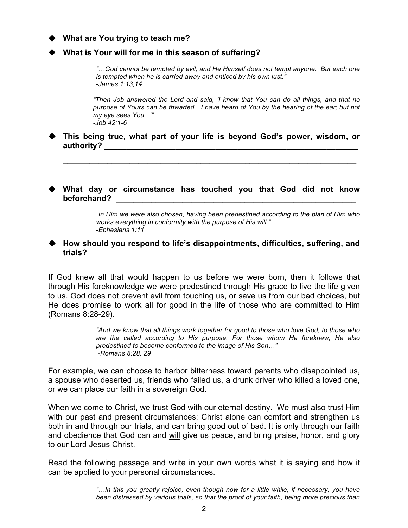#### **What are You trying to teach me?**

#### **What is Your will for me in this season of suffering?**

*"…God cannot be tempted by evil, and He Himself does not tempt anyone. But each one is tempted when he is carried away and enticed by his own lust." -James 1:13,14*

*"Then Job answered the Lord and said, 'I know that You can do all things, and that no purpose of Yours can be thwarted…I have heard of You by the hearing of the ear; but not my eye sees You...'" -Job 42:1-6*

 **This being true, what part of your life is beyond God's power, wisdom, or authority? \_\_\_\_\_\_\_\_\_\_\_\_\_\_\_\_\_\_\_\_\_\_\_\_\_\_\_\_\_\_\_\_\_\_\_\_\_\_\_\_\_\_\_\_\_\_\_\_\_\_\_\_\_\_\_\_\_**

**\_\_\_\_\_\_\_\_\_\_\_\_\_\_\_\_\_\_\_\_\_\_\_\_\_\_\_\_\_\_\_\_\_\_\_\_\_\_\_\_\_\_\_\_\_\_\_\_\_\_\_\_\_\_\_\_\_\_\_\_\_\_\_\_\_\_**

#### **What day or circumstance has touched you that God did not know**  beforehand?

*"In Him we were also chosen, having been predestined according to the plan of Him who works everything in conformity with the purpose of His will." -Ephesians 1:11*

#### **How should you respond to life's disappointments, difficulties, suffering, and trials?**

If God knew all that would happen to us before we were born, then it follows that through His foreknowledge we were predestined through His grace to live the life given to us. God does not prevent evil from touching us, or save us from our bad choices, but He does promise to work all for good in the life of those who are committed to Him (Romans 8:28-29).

> *"And we know that all things work together for good to those who love God, to those who are the called according to His purpose. For those whom He foreknew, He also predestined to become conformed to the image of His Son…" -Romans 8:28, 29*

For example, we can choose to harbor bitterness toward parents who disappointed us, a spouse who deserted us, friends who failed us, a drunk driver who killed a loved one, or we can place our faith in a sovereign God.

When we come to Christ, we trust God with our eternal destiny. We must also trust Him with our past and present circumstances; Christ alone can comfort and strengthen us both in and through our trials, and can bring good out of bad. It is only through our faith and obedience that God can and will give us peace, and bring praise, honor, and glory to our Lord Jesus Christ.

Read the following passage and write in your own words what it is saying and how it can be applied to your personal circumstances.

> *"…In this you greatly rejoice, even though now for a little while, if necessary, you have been distressed by various trials, so that the proof of your faith, being more precious than*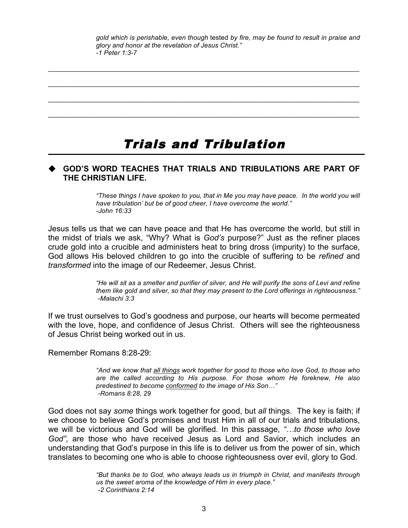*gold which is perishable, even though* tested *by fire, may be found to result in praise and glory and honor at the revelation of Jesus Christ." -1 Peter 1:3-7*

## Trials and Tribulation

 $\_$  . The contribution of the contribution of the contribution of the contribution of the contribution of the contribution of the contribution of the contribution of the contribution of the contribution of the contributio

 $\_$  , and the state of the state of the state of the state of the state of the state of the state of the state of the state of the state of the state of the state of the state of the state of the state of the state of the

 $\_$  , and the state of the state of the state of the state of the state of the state of the state of the state of the state of the state of the state of the state of the state of the state of the state of the state of the

 $\_$  , and the state of the state of the state of the state of the state of the state of the state of the state of the state of the state of the state of the state of the state of the state of the state of the state of the

#### **GOD'S WORD TEACHES THAT TRIALS AND TRIBULATIONS ARE PART OF THE CHRISTIAN LIFE.**

*"These things I have spoken to you, that in Me you may have peace. In the world you will have tribulation' but be of good cheer, I have overcome the world." -John 16:33*

Jesus tells us that we can have peace and that He has overcome the world, but still in the midst of trials we ask, "Why? What is *God's* purpose?" Just as the refiner places crude gold into a crucible and administers heat to bring dross (impurity) to the surface, God allows His beloved children to go into the crucible of suffering to be *refined* and *transformed* into the image of our Redeemer, Jesus Christ.

> *"He will sit as a smelter and purifier of silver, and He will purify the sons of Levi and refine them like gold and silver, so that they may present to the Lord offerings in righteousness." -Malachi 3:3*

If we trust ourselves to God's goodness and purpose, our hearts will become permeated with the love, hope, and confidence of Jesus Christ. Others will see the righteousness of Jesus Christ being worked out in us.

Remember Romans 8:28-29:

*"And we know that all things work together for good to those who love God, to those who are the called according to His purpose. For those whom He foreknew, He also predestined to become conformed to the image of His Son…" -Romans 8:28, 29*

God does not say *some* things work together for good, but *all* things. The key is faith; if we choose to believe God's promises and trust Him in all of our trials and tribulations, we will be victorious and God will be glorified. In this passage, *"…to those who love God"*, are those who have received Jesus as Lord and Savior, which includes an understanding that God's purpose in this life is to deliver us from the power of sin, which translates to becoming one who is able to choose righteousness over evil, glory to God.

> *"But thanks be to God, who always leads us in triumph in Christ, and manifests through us the sweet aroma of the knowledge of Him in every place." -2 Corinthians 2:14*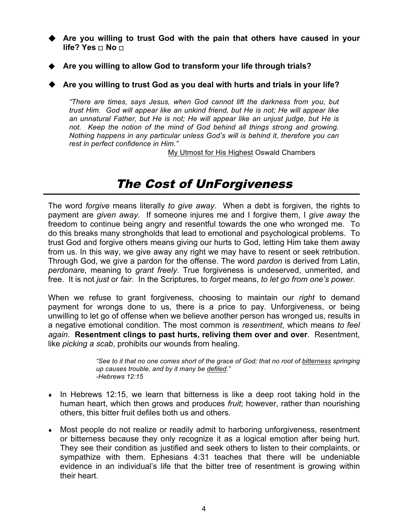**Are you willing to trust God with the pain that others have caused in your life? Yes** ☐ **No** ☐

- **Are you willing to allow God to transform your life through trials?**
- **Are you willing to trust God as you deal with hurts and trials in your life?**

*"There are times, says Jesus, when God cannot lift the darkness from you, but trust Him. God will appear like an unkind friend, but He is not; He will appear like an unnatural Father, but He is not; He will appear like an unjust judge, but He is*  not. Keep the notion of the mind of God behind all things strong and growing. *Nothing happens in any particular unless God's will is behind it, therefore you can rest in perfect confidence in Him."* 

My Utmost for His Highest Oswald Chambers

## The Cost of UnForgiveness

The word *forgive* means literally *to give away*. When a debt is forgiven, the rights to payment are *given away*. If someone injures me and I forgive them, I *give away* the freedom to continue being angry and resentful towards the one who wronged me. To do this breaks many strongholds that lead to emotional and psychological problems. To trust God and forgive others means giving our hurts to God, letting Him take them away from us. In this way, we give away any right we may have to resent or seek retribution. Through God, we give a pardon for the offense. The word *pardon* is derived from Latin, *perdonare*, meaning to *grant freely*. True forgiveness is undeserved, unmerited, and free. It is not *just* or *fair*. In the Scriptures, to *forget* means, *to let go from one's power.*

When we refuse to grant forgiveness, choosing to maintain our *right* to demand payment for wrongs done to us, there is a price to pay. Unforgiveness, or being unwilling to let go of offense when we believe another person has wronged us, results in a negative emotional condition. The most common is *resentment*, which means *to feel again*. **Resentment clings to past hurts, reliving them over and over**. Resentment, like *picking a scab*, prohibits our wounds from healing.

> *"See to it that no one comes short of the grace of God; that no root of bitterness springing up causes trouble, and by it many be defiled." -Hebrews 12:15*

- $\bullet$  In Hebrews 12:15, we learn that bitterness is like a deep root taking hold in the human heart, which then grows and produces *fruit*; however, rather than nourishing others, this bitter fruit defiles both us and others.
- Most people do not realize or readily admit to harboring unforgiveness, resentment or bitterness because they only recognize it as a logical emotion after being hurt. They see their condition as justified and seek others to listen to their complaints, or sympathize with them. Ephesians 4:31 teaches that there will be undeniable evidence in an individual's life that the bitter tree of resentment is growing within their heart.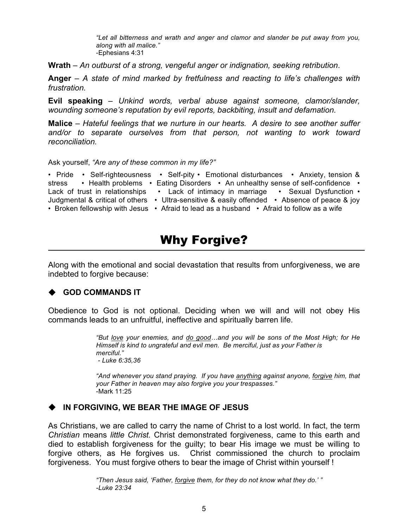*"Let all bitterness and wrath and anger and clamor and slander be put away from you, along with all malice."* -Ephesians 4:31

**Wrath** *– An outburst of a strong, vengeful anger or indignation, seeking retribution*.

**Anger** *– A state of mind marked by fretfulness and reacting to life's challenges with frustration.*

**Evil speaking** *– Unkind words, verbal abuse against someone, clamor/slander, wounding someone's reputation by evil reports, backbiting, insult and defamation.*

**Malice** *– Hateful feelings that we nurture in our hearts. A desire to see another suffer*  and/or to separate ourselves from that person, not wanting to work toward *reconciliation.*

Ask yourself, *"Are any of these common in my life?"*

• Pride • Self-righteousness • Self-pity • Emotional disturbances • Anxiety, tension & stress • Health problems • Eating Disorders • An unhealthy sense of self-confidence • Lack of trust in relationships • Lack of intimacy in marriage • Sexual Dysfunction • Judgmental & critical of others • Ultra-sensitive & easily offended • Absence of peace & joy • Broken fellowship with Jesus • Afraid to lead as a husband • Afraid to follow as a wife

## Why Forgive?

Along with the emotional and social devastation that results from unforgiveness, we are indebted to forgive because:

#### **← GOD COMMANDS IT**

Obedience to God is not optional. Deciding when we will and will not obey His commands leads to an unfruitful, ineffective and spiritually barren life.

> *"But love your enemies, and do good…and you will be sons of the Most High; for He Himself is kind to ungrateful and evil men. Be merciful, just as your Father is merciful." - Luke 6:35,36*

> *"And whenever you stand praying. If you have anything against anyone, forgive him, that your Father in heaven may also forgive you your trespasses."* -Mark 11:25

#### **IN FORGIVING, WE BEAR THE IMAGE OF JESUS**

As Christians, we are called to carry the name of Christ to a lost world. In fact, the term *Christian* means *little Christ.* Christ demonstrated forgiveness, came to this earth and died to establish forgiveness for the guilty; to bear His image we must be willing to forgive others, as He forgives us. Christ commissioned the church to proclaim forgiveness. You must forgive others to bear the image of Christ within yourself !

> *"Then Jesus said, 'Father, forgive them, for they do not know what they do.' " -Luke 23:34*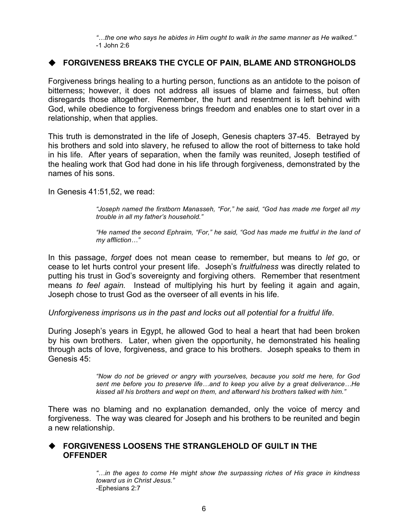*"…the one who says he abides in Him ought to walk in the same manner as He walked."*  -1 John 2:6

#### **FORGIVENESS BREAKS THE CYCLE OF PAIN, BLAME AND STRONGHOLDS**

Forgiveness brings healing to a hurting person, functions as an antidote to the poison of bitterness; however, it does not address all issues of blame and fairness, but often disregards those altogether. Remember, the hurt and resentment is left behind with God, while obedience to forgiveness brings freedom and enables one to start over in a relationship, when that applies.

This truth is demonstrated in the life of Joseph, Genesis chapters 37-45. Betrayed by his brothers and sold into slavery, he refused to allow the root of bitterness to take hold in his life. After years of separation, when the family was reunited, Joseph testified of the healing work that God had done in his life through forgiveness, demonstrated by the names of his sons.

In Genesis 41:51,52, we read:

*"Joseph named the firstborn Manasseh, "For," he said, "God has made me forget all my trouble in all my father's household."*

*"He named the second Ephraim, "For," he said, "God has made me fruitful in the land of my affliction…"*

In this passage, *forget* does not mean cease to remember, but means to *let go*, or cease to let hurts control your present life. Joseph's *fruitfulness* was directly related to putting his trust in God's sovereignty and forgiving others*.* Remember that resentment means *to feel again.* Instead of multiplying his hurt by feeling it again and again, Joseph chose to trust God as the overseer of all events in his life.

*Unforgiveness imprisons us in the past and locks out all potential for a fruitful life.*

During Joseph's years in Egypt, he allowed God to heal a heart that had been broken by his own brothers. Later, when given the opportunity, he demonstrated his healing through acts of love, forgiveness, and grace to his brothers. Joseph speaks to them in Genesis 45:

> *"Now do not be grieved or angry with yourselves, because you sold me here, for God sent me before you to preserve life…and to keep you alive by a great deliverance…He kissed all his brothers and wept on them, and afterward his brothers talked with him."*

There was no blaming and no explanation demanded, only the voice of mercy and forgiveness. The way was cleared for Joseph and his brothers to be reunited and begin a new relationship.

#### **FORGIVENESS LOOSENS THE STRANGLEHOLD OF GUILT IN THE OFFENDER**

*"…in the ages to come He might show the surpassing riches of His grace in kindness toward us in Christ Jesus."*  -Ephesians 2:7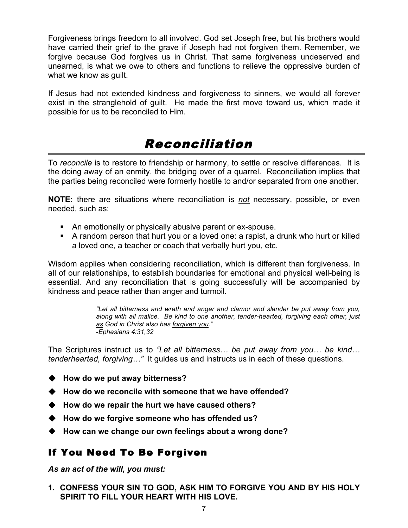Forgiveness brings freedom to all involved. God set Joseph free, but his brothers would have carried their grief to the grave if Joseph had not forgiven them. Remember, we forgive because God forgives us in Christ. That same forgiveness undeserved and unearned, is what we owe to others and functions to relieve the oppressive burden of what we know as quilt.

If Jesus had not extended kindness and forgiveness to sinners, we would all forever exist in the stranglehold of guilt. He made the first move toward us, which made it possible for us to be reconciled to Him.

## Reconciliation

To *reconcile* is to restore to friendship or harmony, to settle or resolve differences. It is the doing away of an enmity, the bridging over of a quarrel. Reconciliation implies that the parties being reconciled were formerly hostile to and/or separated from one another.

**NOTE:** there are situations where reconciliation is *not* necessary, possible, or even needed, such as:

- An emotionally or physically abusive parent or ex-spouse.
- A random person that hurt you or a loved one: a rapist, a drunk who hurt or killed a loved one, a teacher or coach that verbally hurt you, etc.

Wisdom applies when considering reconciliation, which is different than forgiveness. In all of our relationships, to establish boundaries for emotional and physical well-being is essential. And any reconciliation that is going successfully will be accompanied by kindness and peace rather than anger and turmoil.

> *"Let all bitterness and wrath and anger and clamor and slander be put away from you, along with all malice. Be kind to one another, tender-hearted, forgiving each other, just as God in Christ also has forgiven you." -Ephesians 4:31,32*

The Scriptures instruct us to *"Let all bitterness… be put away from you… be kind… tenderhearted, forgiving…"* It guides us and instructs us in each of these questions.

- ◆ How do we put away bitterness?
- **How do we reconcile with someone that we have offended?**
- ◆ How do we repair the hurt we have caused others?
- **How do we forgive someone who has offended us?**
- **How can we change our own feelings about a wrong done?**

#### If You Need To Be Forgiven

*As an act of the will, you must:*

**1. CONFESS YOUR SIN TO GOD, ASK HIM TO FORGIVE YOU AND BY HIS HOLY SPIRIT TO FILL YOUR HEART WITH HIS LOVE.**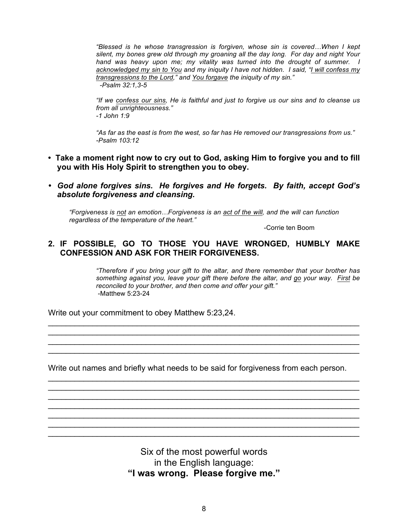*"Blessed is he whose transgression is forgiven, whose sin is covered…When I kept silent, my bones grew old through my groaning all the day long. For day and night Your hand was heavy upon me; my vitality was turned into the drought of summer. I acknowledged my sin to You and my iniquity I have not hidden. I said, "I will confess my transgressions to the Lord," and You forgave the iniquity of my sin."*

 *-Psalm 32:1,3-5*

*"If we confess our sins, He is faithful and just to forgive us our sins and to cleanse us from all unrighteousness." -1 John 1:9*

*"As far as the east is from the west, so far has He removed our transgressions from us." -Psalm 103:12*

- **Take a moment right now to cry out to God, asking Him to forgive you and to fill you with His Holy Spirit to strengthen you to obey.**
- *God alone forgives sins. He forgives and He forgets. By faith, accept God's absolute forgiveness and cleansing.*

*"Forgiveness is not an emotion…Forgiveness is an act of the will, and the will can function regardless of the temperature of the heart."* 

-Corrie ten Boom

#### **2. IF POSSIBLE, GO TO THOSE YOU HAVE WRONGED, HUMBLY MAKE CONFESSION AND ASK FOR THEIR FORGIVENESS.**

*"Therefore if you bring your gift to the altar, and there remember that your brother has something against you, leave your gift there before the altar, and go your way. First be reconciled to your brother, and then come and offer your gift."*  -Matthew 5:23-24

Write out your commitment to obey Matthew 5:23,24.

Write out names and briefly what needs to be said for forgiveness from each person.

\_\_\_\_\_\_\_\_\_\_\_\_\_\_\_\_\_\_\_\_\_\_\_\_\_\_\_\_\_\_\_\_\_\_\_\_\_\_\_\_\_\_\_\_\_\_\_\_\_\_\_\_\_\_\_\_\_\_\_\_\_\_\_\_\_\_\_\_\_\_  $\_$  $\_$ \_\_\_\_\_\_\_\_\_\_\_\_\_\_\_\_\_\_\_\_\_\_\_\_\_\_\_\_\_\_\_\_\_\_\_\_\_\_\_\_\_\_\_\_\_\_\_\_\_\_\_\_\_\_\_\_\_\_\_\_\_\_\_\_\_\_\_\_\_\_ \_\_\_\_\_\_\_\_\_\_\_\_\_\_\_\_\_\_\_\_\_\_\_\_\_\_\_\_\_\_\_\_\_\_\_\_\_\_\_\_\_\_\_\_\_\_\_\_\_\_\_\_\_\_\_\_\_\_\_\_\_\_\_\_\_\_\_\_\_\_  $\_$  $\_$ 

\_\_\_\_\_\_\_\_\_\_\_\_\_\_\_\_\_\_\_\_\_\_\_\_\_\_\_\_\_\_\_\_\_\_\_\_\_\_\_\_\_\_\_\_\_\_\_\_\_\_\_\_\_\_\_\_\_\_\_\_\_\_\_\_\_\_\_\_\_\_  $\_$  $\_$ \_\_\_\_\_\_\_\_\_\_\_\_\_\_\_\_\_\_\_\_\_\_\_\_\_\_\_\_\_\_\_\_\_\_\_\_\_\_\_\_\_\_\_\_\_\_\_\_\_\_\_\_\_\_\_\_\_\_\_\_\_\_\_\_\_\_\_\_\_\_

> Six of the most powerful words in the English language: **"I was wrong. Please forgive me."**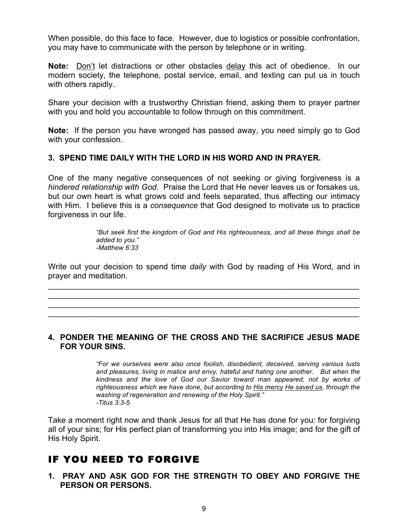When possible, do this face to face. However, due to logistics or possible confrontation, you may have to communicate with the person by telephone or in writing.

**Note:** Don't let distractions or other obstacles delay this act of obedience. In our modern society, the telephone, postal service, email, and texting can put us in touch with others rapidly.

Share your decision with a trustworthy Christian friend, asking them to prayer partner with you and hold you accountable to follow through on this commitment.

**Note:** If the person you have wronged has passed away, you need simply go to God with your confession.

#### **3. SPEND TIME DAILY WITH THE LORD IN HIS WORD AND IN PRAYER.**

One of the many negative consequences of not seeking or giving forgiveness is a *hindered relationship with God*. Praise the Lord that He never leaves us or forsakes us, but our own heart is what grows cold and feels separated, thus affecting our intimacy with Him. I believe this is a *consequence* that God designed to motivate us to practice forgiveness in our life.

> *"But seek first the kingdom of God and His righteousness, and all these things shall be added to you." -Matthew 6:33*

Write out your decision to spend time *daily* with God by reading of His Word, and in prayer and meditation.

\_\_\_\_\_\_\_\_\_\_\_\_\_\_\_\_\_\_\_\_\_\_\_\_\_\_\_\_\_\_\_\_\_\_\_\_\_\_\_\_\_\_\_\_\_\_\_\_\_\_\_\_\_\_\_\_\_\_\_\_\_\_\_\_\_\_\_\_\_\_  $\_$  $\_$ \_\_\_\_\_\_\_\_\_\_\_\_\_\_\_\_\_\_\_\_\_\_\_\_\_\_\_\_\_\_\_\_\_\_\_\_\_\_\_\_\_\_\_\_\_\_\_\_\_\_\_\_\_\_\_\_\_\_\_\_\_\_\_\_\_\_\_\_\_\_

#### **4. PONDER THE MEANING OF THE CROSS AND THE SACRIFICE JESUS MADE FOR YOUR SINS.**

*"For we ourselves were also once foolish, disobedient, deceived, serving various lusts and pleasures, living in malice and envy, hateful and hating one another. But when the kindness and the love of God our Savior toward man appeared, not by works of righteousness which we have done, but according to His mercy He saved us, through the washing of regeneration and renewing of the Holy Spirit." -Titus 3:3-5*

Take a moment right now and thank Jesus for all that He has done for you: for forgiving all of your sins; for His perfect plan of transforming you into His image; and for the gift of His Holy Spirit.

### IF YOU NEED TO FORGIVE

**1. PRAY AND ASK GOD FOR THE STRENGTH TO OBEY AND FORGIVE THE PERSON OR PERSONS.**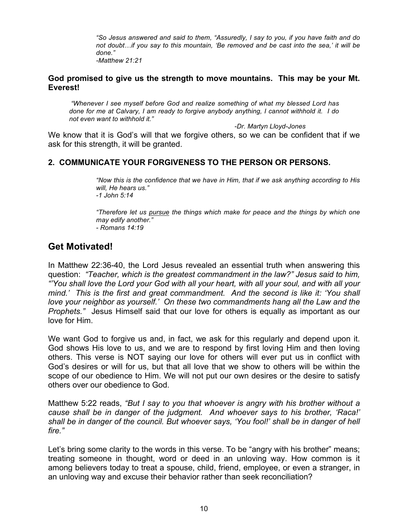*"So Jesus answered and said to them, "Assuredly, I say to you, if you have faith and do not doubt…if you say to this mountain, 'Be removed and be cast into the sea,' it will be done."* 

*-Matthew 21:21*

#### **God promised to give us the strength to move mountains. This may be your Mt. Everest!**

*"Whenever I see myself before God and realize something of what my blessed Lord has done for me at Calvary, I am ready to forgive anybody anything, I cannot withhold it. I do not even want to withhold it."* 

 *-Dr. Martyn Lloyd-Jones*

We know that it is God's will that we forgive others, so we can be confident that if we ask for this strength, it will be granted.

#### **2. COMMUNICATE YOUR FORGIVENESS TO THE PERSON OR PERSONS.**

*"Now this is the confidence that we have in Him, that if we ask anything according to His will, He hears us." -1 John 5:14*

*"Therefore let us pursue the things which make for peace and the things by which one may edify another." - Romans 14:19*

#### **Get Motivated!**

In Matthew 22:36-40, the Lord Jesus revealed an essential truth when answering this question: *"Teacher, which is the greatest commandment in the law?" Jesus said to him, "'You shall love the Lord your God with all your heart, with all your soul, and with all your mind.' This is the first and great commandment. And the second is like it: 'You shall love your neighbor as yourself.' On these two commandments hang all the Law and the Prophets."* Jesus Himself said that our love for others is equally as important as our love for Him.

We want God to forgive us and, in fact, we ask for this regularly and depend upon it. God shows His love to us, and we are to respond by first loving Him and then loving others. This verse is NOT saying our love for others will ever put us in conflict with God's desires or will for us, but that all love that we show to others will be within the scope of our obedience to Him. We will not put our own desires or the desire to satisfy others over our obedience to God.

Matthew 5:22 reads, *"But I say to you that whoever is angry with his brother without a cause shall be in danger of the judgment. And whoever says to his brother, 'Raca!' shall be in danger of the council. But whoever says, 'You fool!' shall be in danger of hell fire."*

Let's bring some clarity to the words in this verse. To be "angry with his brother" means; treating someone in thought, word or deed in an unloving way. How common is it among believers today to treat a spouse, child, friend, employee, or even a stranger, in an unloving way and excuse their behavior rather than seek reconciliation?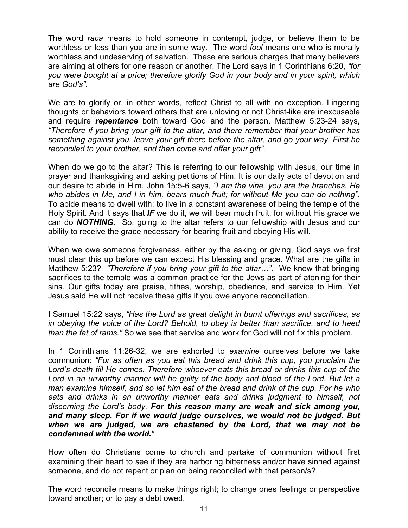The word *raca* means to hold someone in contempt, judge, or believe them to be worthless or less than you are in some way. The word *fool* means one who is morally worthless and undeserving of salvation. These are serious charges that many believers are aiming at others for one reason or another. The Lord says in 1 Corinthians 6:20, *"for you were bought at a price; therefore glorify God in your body and in your spirit, which are God's".*

We are to glorify or, in other words, reflect Christ to all with no exception. Lingering thoughts or behaviors toward others that are unloving or not Christ-like are inexcusable and require *repentance* both toward God and the person. Matthew 5:23-24 says, *"Therefore if you bring your gift to the altar, and there remember that your brother has something against you, leave your gift there before the altar, and go your way. First be reconciled to your brother, and then come and offer your gift".*

When do we go to the altar? This is referring to our fellowship with Jesus, our time in prayer and thanksgiving and asking petitions of Him. It is our daily acts of devotion and our desire to abide in Him. John 15:5-6 says, *"I am the vine, you are the branches. He who abides in Me, and I in him, bears much fruit; for without Me you can do nothing".* To abide means to dwell with; to live in a constant awareness of being the temple of the Holy Spirit. And it says that *IF* we do it, we will bear much fruit, for without His *grace* we can do *NOTHING*. So, going to the altar refers to our fellowship with Jesus and our ability to receive the grace necessary for bearing fruit and obeying His will.

When we owe someone forgiveness, either by the asking or giving, God says we first must clear this up before we can expect His blessing and grace. What are the gifts in Matthew 5:23? *"Therefore if you bring your gift to the altar…".* We know that bringing sacrifices to the temple was a common practice for the Jews as part of atoning for their sins. Our gifts today are praise, tithes, worship, obedience, and service to Him. Yet Jesus said He will not receive these gifts if you owe anyone reconciliation.

I Samuel 15:22 says, *"Has the Lord as great delight in burnt offerings and sacrifices, as in obeying the voice of the Lord? Behold, to obey is better than sacrifice, and to heed than the fat of rams."* So we see that service and work for God will not fix this problem.

In 1 Corinthians 11:26-32, we are exhorted to *examine* ourselves before we take communion: *"For as often as you eat this bread and drink this cup, you proclaim the Lord's death till He comes. Therefore whoever eats this bread or drinks this cup of the Lord in an unworthy manner will be guilty of the body and blood of the Lord. But let a man examine himself, and so let him eat of the bread and drink of the cup. For he who eats and drinks in an unworthy manner eats and drinks judgment to himself, not discerning the Lord's body. For this reason many are weak and sick among you, and many sleep. For if we would judge ourselves, we would not be judged. But when we are judged, we are chastened by the Lord, that we may not be condemned with the world."*

How often do Christians come to church and partake of communion without first examining their heart to see if they are harboring bitterness and/or have sinned against someone, and do not repent or plan on being reconciled with that person/s?

The word reconcile means to make things right; to change ones feelings or perspective toward another; or to pay a debt owed.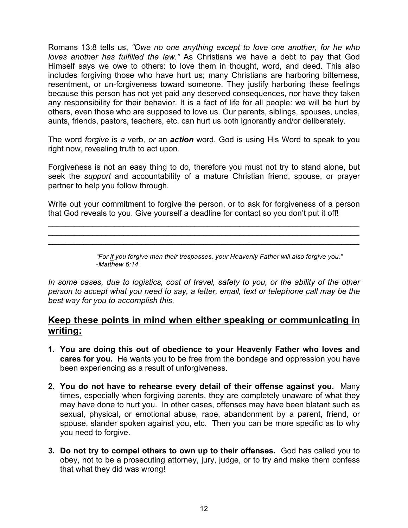Romans 13:8 tells us, *"Owe no one anything except to love one another, for he who loves another has fulfilled the law."* As Christians we have a debt to pay that God Himself says we owe to others: to love them in thought, word, and deed. This also includes forgiving those who have hurt us; many Christians are harboring bitterness, resentment, or un-forgiveness toward someone. They justify harboring these feelings because this person has not yet paid any deserved consequences, nor have they taken any responsibility for their behavior. It is a fact of life for all people: we will be hurt by others, even those who are supposed to love us. Our parents, siblings, spouses, uncles, aunts, friends, pastors, teachers, etc. can hurt us both ignorantly and/or deliberately.

The word *forgive* is *a* verb*, or* an *action* word*.* God is using His Word to speak to you right now, revealing truth to act upon.

Forgiveness is not an easy thing to do, therefore you must not try to stand alone, but seek the *support* and accountability of a mature Christian friend, spouse, or prayer partner to help you follow through.

Write out your commitment to forgive the person, or to ask for forgiveness of a person that God reveals to you. Give yourself a deadline for contact so you don't put it off!

 $\_$ \_\_\_\_\_\_\_\_\_\_\_\_\_\_\_\_\_\_\_\_\_\_\_\_\_\_\_\_\_\_\_\_\_\_\_\_\_\_\_\_\_\_\_\_\_\_\_\_\_\_\_\_\_\_\_\_\_\_\_\_\_\_\_\_\_\_\_\_\_\_ \_\_\_\_\_\_\_\_\_\_\_\_\_\_\_\_\_\_\_\_\_\_\_\_\_\_\_\_\_\_\_\_\_\_\_\_\_\_\_\_\_\_\_\_\_\_\_\_\_\_\_\_\_\_\_\_\_\_\_\_\_\_\_\_\_\_\_\_\_\_

> *"For if you forgive men their trespasses, your Heavenly Father will also forgive you." -Matthew 6:14*

*In some cases, due to logistics, cost of travel, safety to you, or the ability of the other person to accept what you need to say, a letter, email, text or telephone call may be the best way for you to accomplish this.*

#### **Keep these points in mind when either speaking or communicating in writing:**

- **1. You are doing this out of obedience to your Heavenly Father who loves and cares for you.** He wants you to be free from the bondage and oppression you have been experiencing as a result of unforgiveness.
- **2. You do not have to rehearse every detail of their offense against you.** Many times, especially when forgiving parents, they are completely unaware of what they may have done to hurt you. In other cases, offenses may have been blatant such as sexual, physical, or emotional abuse, rape, abandonment by a parent, friend, or spouse, slander spoken against you, etc. Then you can be more specific as to why you need to forgive.
- **3. Do not try to compel others to own up to their offenses.** God has called you to obey, not to be a prosecuting attorney, jury, judge, or to try and make them confess that what they did was wrong!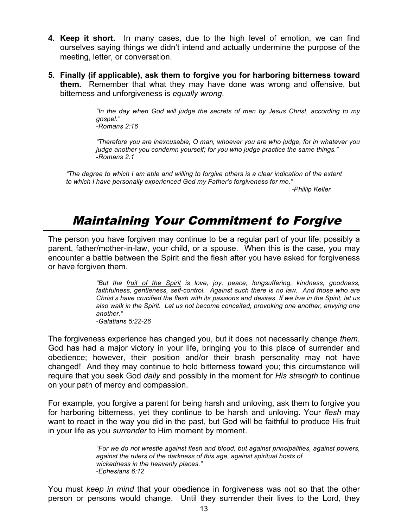- **4. Keep it short.** In many cases, due to the high level of emotion, we can find ourselves saying things we didn't intend and actually undermine the purpose of the meeting, letter, or conversation.
- **5. Finally (if applicable), ask them to forgive you for harboring bitterness toward them.** Remember that what they may have done was wrong and offensive, but bitterness and unforgiveness is *equally wrong*.

*"In the day when God will judge the secrets of men by Jesus Christ, according to my gospel." -Romans 2:16*

*"Therefore you are inexcusable, O man, whoever you are who judge, for in whatever you judge another you condemn yourself; for you who judge practice the same things." -Romans 2:1*

*"The degree to which I am able and willing to forgive others is a clear indication of the extent to which I have personally experienced God my Father's forgiveness for me."*

 *-Phillip Keller*

## Maintaining Your Commitment to Forgive

The person you have forgiven may continue to be a regular part of your life; possibly a parent, father/mother-in-law, your child, or a spouse. When this is the case, you may encounter a battle between the Spirit and the flesh after you have asked for forgiveness or have forgiven them.

> *"But the fruit of the Spirit is love, joy, peace, longsuffering, kindness, goodness,*  faithfulness, gentleness, self-control. Against such there is no law. And those who are *Christ's have crucified the flesh with its passions and desires. If we live in the Spirit, let us also walk in the Spirit. Let us not become conceited, provoking one another, envying one another." -Galatians 5:22-26*

The forgiveness experience has changed you, but it does not necessarily change *them.* God has had a major victory in your life, bringing you to this place of surrender and obedience; however, their position and/or their brash personality may not have changed! And they may continue to hold bitterness toward you; this circumstance will require that you seek God *daily* and possibly in the moment for *His strength* to continue on your path of mercy and compassion.

For example, you forgive a parent for being harsh and unloving, ask them to forgive you for harboring bitterness, yet they continue to be harsh and unloving. Your *flesh* may want to react in the way you did in the past, but God will be faithful to produce His fruit in your life as you *surrender* to Him moment by moment.

> *"For we do not wrestle against flesh and blood, but against principalities, against powers, against the rulers of the darkness of this age, against spiritual hosts of wickedness in the heavenly places." -Ephesians 6:12*

You must *keep in mind* that your obedience in forgiveness was not so that the other person or persons would change. Until they surrender their lives to the Lord, they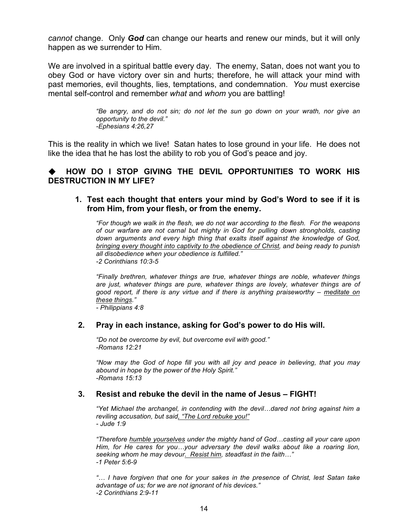*cannot* change. Only *God* can change our hearts and renew our minds, but it will only happen as we surrender to Him.

We are involved in a spiritual battle every day. The enemy, Satan, does not want you to obey God or have victory over sin and hurts; therefore, he will attack your mind with past memories, evil thoughts, lies, temptations, and condemnation. *You* must exercise mental self-control and remember *what* and *whom* you are battling!

> *"Be angry, and do not sin; do not let the sun go down on your wrath, nor give an opportunity to the devil." -Ephesians 4:26,27*

This is the reality in which we live! Satan hates to lose ground in your life. He does not like the idea that he has lost the ability to rob you of God's peace and joy.

#### **HOW DO I STOP GIVING THE DEVIL OPPORTUNITIES TO WORK HIS DESTRUCTION IN MY LIFE?**

#### **1. Test each thought that enters your mind by God's Word to see if it is from Him, from your flesh, or from the enemy.**

*"For though we walk in the flesh, we do not war according to the flesh. For the weapons of our warfare are not carnal but mighty in God for pulling down strongholds, casting down arguments and every high thing that exalts itself against the knowledge of God, bringing every thought into captivity to the obedience of Christ, and being ready to punish all disobedience when your obedience is fulfilled." -2 Corinthians 10:3-5*

*"Finally brethren, whatever things are true, whatever things are noble, whatever things are just, whatever things are pure, whatever things are lovely, whatever things are of good report, if there is any virtue and if there is anything praiseworthy – meditate on these things."* 

*- Philippians 4:8*

#### **2. Pray in each instance, asking for God's power to do His will.**

*"Do not be overcome by evil, but overcome evil with good." -Romans 12:21*

*"Now may the God of hope fill you with all joy and peace in believing, that you may abound in hope by the power of the Holy Spirit." -Romans 15:13*

#### **3. Resist and rebuke the devil in the name of Jesus – FIGHT!**

*"Yet Michael the archangel, in contending with the devil…dared not bring against him a reviling accusation, but said, "The Lord rebuke you!" - Jude 1:9*

*"Therefore humble yourselves under the mighty hand of God…casting all your care upon Him, for He cares for you…your adversary the devil walks about like a roaring lion, seeking whom he may devour. Resist him, steadfast in the faith…" -1 Peter 5:6-9*

*"… I have forgiven that one for your sakes in the presence of Christ, lest Satan take advantage of us; for we are not ignorant of his devices." -2 Corinthians 2:9-11*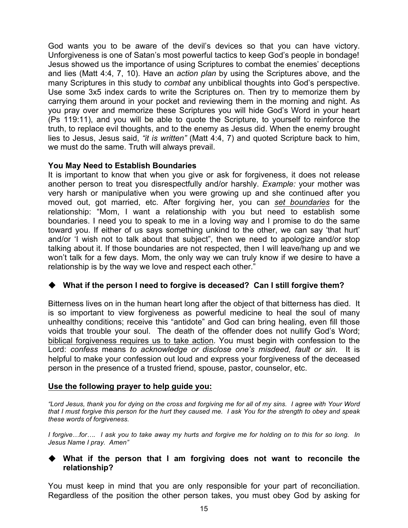God wants you to be aware of the devil's devices so that you can have victory. Unforgiveness is one of Satan's most powerful tactics to keep God's people in bondage! Jesus showed us the importance of using Scriptures to combat the enemies' deceptions and lies (Matt 4:4, 7, 10). Have an *action plan* by using the Scriptures above, and the many Scriptures in this study to *combat* any unbiblical thoughts into God's perspective. Use some 3x5 index cards to write the Scriptures on. Then try to memorize them by carrying them around in your pocket and reviewing them in the morning and night. As you pray over and memorize these Scriptures you will hide God's Word in your heart (Ps 119:11), and you will be able to quote the Scripture, to yourself to reinforce the truth, to replace evil thoughts, and to the enemy as Jesus did. When the enemy brought lies to Jesus, Jesus said, *"it is written"* (Matt 4:4, 7) and quoted Scripture back to him, we must do the same. Truth will always prevail.

#### **You May Need to Establish Boundaries**

It is important to know that when you give or ask for forgiveness, it does not release another person to treat you disrespectfully and/or harshly. *Example:* your mother was very harsh or manipulative when you were growing up and she continued after you moved out, got married, etc. After forgiving her, you can *set boundaries* for the relationship: "Mom, I want a relationship with you but need to establish some boundaries. I need you to speak to me in a loving way and I promise to do the same toward you. If either of us says something unkind to the other, we can say 'that hurt' and/or 'I wish not to talk about that subject", then we need to apologize and/or stop talking about it. If those boundaries are not respected, then I will leave/hang up and we won't talk for a few days. Mom, the only way we can truly know if we desire to have a relationship is by the way we love and respect each other."

#### ◆ What if the person I need to forgive is deceased? Can I still forgive them?

Bitterness lives on in the human heart long after the object of that bitterness has died. It is so important to view forgiveness as powerful medicine to heal the soul of many unhealthy conditions; receive this "antidote" and God can bring healing, even fill those voids that trouble your soul. The death of the offender does not nullify God's Word; biblical forgiveness requires us to take action. You must begin with confession to the Lord: *confess* means *to acknowledge or disclose one's misdeed, fault or sin.* It is helpful to make your confession out loud and express your forgiveness of the deceased person in the presence of a trusted friend, spouse, pastor, counselor, etc.

#### **Use the following prayer to help guide you:**

*"Lord Jesus, thank you for dying on the cross and forgiving me for all of my sins. I agree with Your Word that I must forgive this person for the hurt they caused me. I ask You for the strength to obey and speak these words of forgiveness.*

*I forgive…for…. I ask you to take away my hurts and forgive me for holding on to this for so long. In Jesus Name I pray. Amen"*

#### **What if the person that I am forgiving does not want to reconcile the relationship?**

You must keep in mind that you are only responsible for your part of reconciliation. Regardless of the position the other person takes, you must obey God by asking for